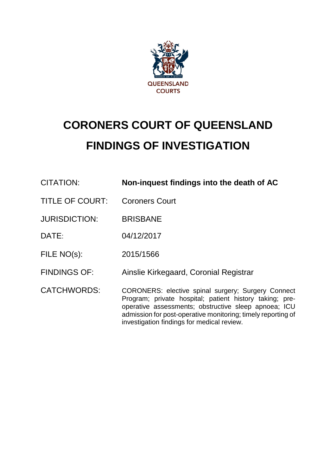

# **CORONERS COURT OF QUEENSLAND FINDINGS OF INVESTIGATION**

| CITATION:              | Non-inquest findings into the death of AC                                                                                                                                                                                                                                           |
|------------------------|-------------------------------------------------------------------------------------------------------------------------------------------------------------------------------------------------------------------------------------------------------------------------------------|
| <b>TITLE OF COURT:</b> | <b>Coroners Court</b>                                                                                                                                                                                                                                                               |
| <b>JURISDICTION:</b>   | <b>BRISBANE</b>                                                                                                                                                                                                                                                                     |
| DATE:                  | 04/12/2017                                                                                                                                                                                                                                                                          |
| FILE NO(s):            | 2015/1566                                                                                                                                                                                                                                                                           |
| <b>FINDINGS OF:</b>    | Ainslie Kirkegaard, Coronial Registrar                                                                                                                                                                                                                                              |
| <b>CATCHWORDS:</b>     | CORONERS: elective spinal surgery; Surgery Connect<br>Program; private hospital; patient history taking; pre-<br>operative assessments; obstructive sleep apnoea; ICU<br>admission for post-operative monitoring; timely reporting of<br>investigation findings for medical review. |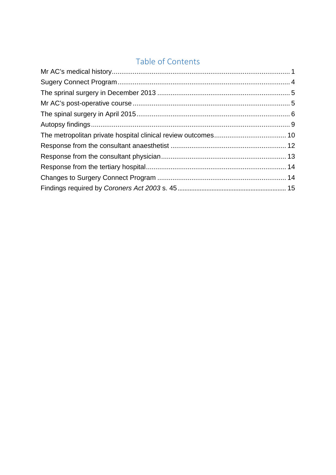# Table of Contents

<span id="page-1-0"></span>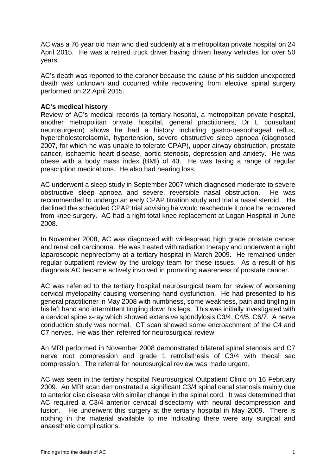AC was a 76 year old man who died suddenly at a metropolitan private hospital on 24 April 2015. He was a retired truck driver having driven heavy vehicles for over 50 years.

AC's death was reported to the coroner because the cause of his sudden unexpected death was unknown and occurred while recovering from elective spinal surgery performed on 22 April 2015.

## **AC's medical history**

Review of AC's medical records (a tertiary hospital, a metropolitan private hospital, another metropolitan private hospital, general practitioners, Dr L consultant neurosurgeon) shows he had a history including gastro-oesophageal reflux, hypercholesterolaemia, hypertension, severe obstructive sleep apnoea (diagnosed 2007, for which he was unable to tolerate CPAP), upper airway obstruction, prostate cancer, ischaemic heart disease, aortic stenosis, depression and anxiety. He was obese with a body mass index (BMI) of 40. He was taking a range of regular prescription medications. He also had hearing loss.

AC underwent a sleep study in September 2007 which diagnosed moderate to severe obstructive sleep apnoea and severe, reversible nasal obstruction. He was recommended to undergo an early CPAP titration study and trial a nasal steroid. He declined the scheduled CPAP trial advising he would reschedule it once he recovered from knee surgery. AC had a right total knee replacement at Logan Hospital in June 2008.

In November 2008, AC was diagnosed with widespread high grade prostate cancer and renal cell carcinoma. He was treated with radiation therapy and underwent a right laparoscopic nephrectomy at a tertiary hospital in March 2009. He remained under regular outpatient review by the urology team for these issues. As a result of his diagnosis AC became actively involved in promoting awareness of prostate cancer.

AC was referred to the tertiary hospital neurosurgical team for review of worsening cervical myelopathy causing worsening hand dysfunction. He had presented to his general practitioner in May 2008 with numbness, some weakness, pain and tingling in his left hand and intermittent tingling down his legs. This was initially investigated with a cervical spine x-ray which showed extensive spondylosis C3/4, C4/5, C6/7. A nerve conduction study was normal. CT scan showed some encroachment of the C4 and C7 nerves. He was then referred for neurosurgical review.

An MRI performed in November 2008 demonstrated bilateral spinal stenosis and C7 nerve root compression and grade 1 retrolisthesis of C3/4 with thecal sac compression. The referral for neurosurgical review was made urgent.

AC was seen in the tertiary hospital Neurosurgical Outpatient Clinic on 16 February 2009. An MRI scan demonstrated a significant C3/4 spinal canal stenosis mainly due to anterior disc disease with similar change in the spinal cord. It was determined that AC required a C3/4 anterior cervical discectomy with neural decompression and fusion. He underwent this surgery at the tertiary hospital in May 2009. There is nothing in the material available to me indicating there were any surgical and anaesthetic complications.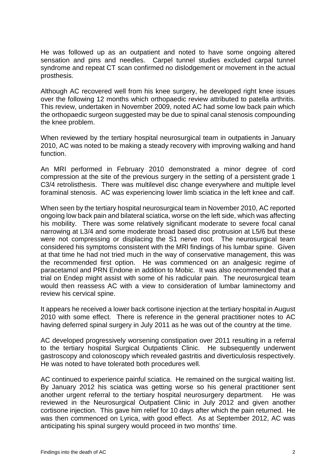He was followed up as an outpatient and noted to have some ongoing altered sensation and pins and needles. Carpel tunnel studies excluded carpal tunnel syndrome and repeat CT scan confirmed no dislodgement or movement in the actual prosthesis.

Although AC recovered well from his knee surgery, he developed right knee issues over the following 12 months which orthopaedic review attributed to patella arthritis. This review, undertaken in November 2009, noted AC had some low back pain which the orthopaedic surgeon suggested may be due to spinal canal stenosis compounding the knee problem.

When reviewed by the tertiary hospital neurosurgical team in outpatients in January 2010, AC was noted to be making a steady recovery with improving walking and hand function.

An MRI performed in February 2010 demonstrated a minor degree of cord compression at the site of the previous surgery in the setting of a persistent grade 1 C3/4 retrolisthesis. There was multilevel disc change everywhere and multiple level foraminal stenosis. AC was experiencing lower limb sciatica in the left knee and calf.

When seen by the tertiary hospital neurosurgical team in November 2010, AC reported ongoing low back pain and bilateral sciatica, worse on the left side, which was affecting his mobility. There was some relatively significant moderate to severe focal canal narrowing at L3/4 and some moderate broad based disc protrusion at L5/6 but these were not compressing or displacing the S1 nerve root. The neurosurgical team considered his symptoms consistent with the MRI findings of his lumbar spine. Given at that time he had not tried much in the way of conservative management, this was the recommended first option. He was commenced on an analgesic regime of paracetamol and PRN Endone in addition to Mobic. It was also recommended that a trial on Endep might assist with some of his radicular pain. The neurosurgical team would then reassess AC with a view to consideration of lumbar laminectomy and review his cervical spine.

It appears he received a lower back cortisone injection at the tertiary hospital in August 2010 with some effect. There is reference in the general practitioner notes to AC having deferred spinal surgery in July 2011 as he was out of the country at the time.

AC developed progressively worsening constipation over 2011 resulting in a referral to the tertiary hospital Surgical Outpatients Clinic. He subsequently underwent gastroscopy and colonoscopy which revealed gastritis and diverticulosis respectively. He was noted to have tolerated both procedures well.

AC continued to experience painful sciatica. He remained on the surgical waiting list. By January 2012 his sciatica was getting worse so his general practitioner sent another urgent referral to the tertiary hospital neurosurgery department. He was reviewed in the Neurosurgical Outpatient Clinic in July 2012 and given another cortisone injection. This gave him relief for 10 days after which the pain returned. He was then commenced on Lyrica, with good effect. As at September 2012, AC was anticipating his spinal surgery would proceed in two months' time.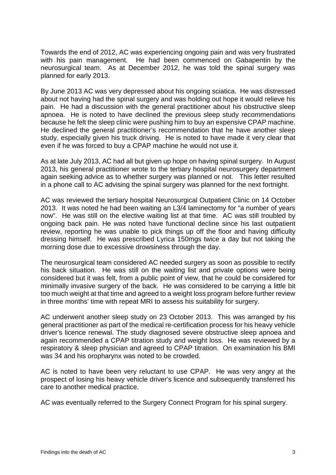Towards the end of 2012, AC was experiencing ongoing pain and was very frustrated with his pain management. He had been commenced on Gabapentin by the neurosurgical team. As at December 2012, he was told the spinal surgery was planned for early 2013.

By June 2013 AC was very depressed about his ongoing sciatica. He was distressed about not having had the spinal surgery and was holding out hope it would relieve his pain. He had a discussion with the general practitioner about his obstructive sleep apnoea. He is noted to have declined the previous sleep study recommendations because he felt the sleep clinic were pushing him to buy an expensive CPAP machine. He declined the general practitioner's recommendation that he have another sleep study, especially given his truck driving. He is noted to have made it very clear that even if he was forced to buy a CPAP machine he would not use it.

As at late July 2013, AC had all but given up hope on having spinal surgery. In August 2013, his general practitioner wrote to the tertiary hospital neurosurgery department again seeking advice as to whether surgery was planned or not. This letter resulted in a phone call to AC advising the spinal surgery was planned for the next fortnight.

AC was reviewed the tertiary hospital Neurosurgical Outpatient Clinic on 14 October 2013. It was noted he had been waiting an L3/4 laminectomy for "a number of years now". He was still on the elective waiting list at that time. AC was still troubled by ongoing back pain. He was noted have functional decline since his last outpatient review, reporting he was unable to pick things up off the floor and having difficulty dressing himself. He was prescribed Lyrica 150mgs twice a day but not taking the morning dose due to excessive drowsiness through the day.

The neurosurgical team considered AC needed surgery as soon as possible to rectify his back situation. He was still on the waiting list and private options were being considered but it was felt, from a public point of view, that he could be considered for minimally invasive surgery of the back. He was considered to be carrying a little bit too much weight at that time and agreed to a weight loss program before further review in three months' time with repeat MRI to assess his suitability for surgery.

AC underwent another sleep study on 23 October 2013. This was arranged by his general practitioner as part of the medical re-certification process for his heavy vehicle driver's licence renewal. The study diagnosed severe obstructive sleep apnoea and again recommended a CPAP titration study and weight loss. He was reviewed by a respiratory & sleep physician and agreed to CPAP titration. On examination his BMI was 34 and his oropharynx was noted to be crowded.

AC is noted to have been very reluctant to use CPAP. He was very angry at the prospect of losing his heavy vehicle driver's licence and subsequently transferred his care to another medical practice.

AC was eventually referred to the Surgery Connect Program for his spinal surgery.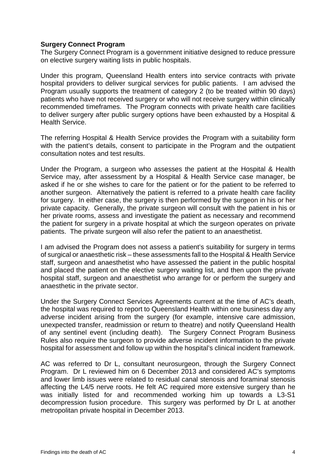# **Surgery Connect Program**

The Surgery Connect Program is a government initiative designed to reduce pressure on elective surgery waiting lists in public hospitals.

Under this program, Queensland Health enters into service contracts with private hospital providers to deliver surgical services for public patients. I am advised the Program usually supports the treatment of category 2 (to be treated within 90 days) patients who have not received surgery or who will not receive surgery within clinically recommended timeframes. The Program connects with private health care facilities to deliver surgery after public surgery options have been exhausted by a Hospital & Health Service.

The referring Hospital & Health Service provides the Program with a suitability form with the patient's details, consent to participate in the Program and the outpatient consultation notes and test results.

Under the Program, a surgeon who assesses the patient at the Hospital & Health Service may, after assessment by a Hospital & Health Service case manager, be asked if he or she wishes to care for the patient or for the patient to be referred to another surgeon. Alternatively the patient is referred to a private health care facility for surgery. In either case, the surgery is then performed by the surgeon in his or her private capacity. Generally, the private surgeon will consult with the patient in his or her private rooms, assess and investigate the patient as necessary and recommend the patient for surgery in a private hospital at which the surgeon operates on private patients. The private surgeon will also refer the patient to an anaesthetist.

I am advised the Program does not assess a patient's suitability for surgery in terms of surgical or anaesthetic risk – these assessments fall to the Hospital & Health Service staff, surgeon and anaesthetist who have assessed the patient in the public hospital and placed the patient on the elective surgery waiting list, and then upon the private hospital staff, surgeon and anaesthetist who arrange for or perform the surgery and anaesthetic in the private sector.

Under the Surgery Connect Services Agreements current at the time of AC's death, the hospital was required to report to Queensland Health within one business day any adverse incident arising from the surgery (for example, intensive care admission, unexpected transfer, readmission or return to theatre) and notify Queensland Health of any sentinel event (including death). The Surgery Connect Program Business Rules also require the surgeon to provide adverse incident information to the private hospital for assessment and follow up within the hospital's clinical incident framework.

AC was referred to Dr L, consultant neurosurgeon, through the Surgery Connect Program. Dr L reviewed him on 6 December 2013 and considered AC's symptoms and lower limb issues were related to residual canal stenosis and foraminal stenosis affecting the L4/5 nerve roots. He felt AC required more extensive surgery than he was initially listed for and recommended working him up towards a L3-S1 decompression fusion procedure. This surgery was performed by Dr L at another metropolitan private hospital in December 2013.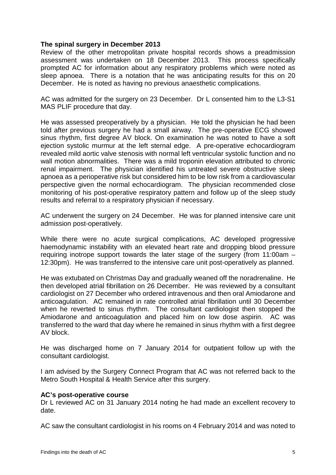## **The spinal surgery in December 2013**

Review of the other metropolitan private hospital records shows a preadmission assessment was undertaken on 18 December 2013. This process specifically prompted AC for information about any respiratory problems which were noted as sleep apnoea. There is a notation that he was anticipating results for this on 20 December. He is noted as having no previous anaesthetic complications.

AC was admitted for the surgery on 23 December. Dr L consented him to the L3-S1 MAS PLIF procedure that day.

He was assessed preoperatively by a physician. He told the physician he had been told after previous surgery he had a small airway. The pre-operative ECG showed sinus rhythm, first degree AV block. On examination he was noted to have a soft ejection systolic murmur at the left sternal edge. A pre-operative echocardiogram revealed mild aortic valve stenosis with normal left ventricular systolic function and no wall motion abnormalities. There was a mild troponin elevation attributed to chronic renal impairment. The physician identified his untreated severe obstructive sleep apnoea as a perioperative risk but considered him to be low risk from a cardiovascular perspective given the normal echocardiogram. The physician recommended close monitoring of his post-operative respiratory pattern and follow up of the sleep study results and referral to a respiratory physician if necessary.

AC underwent the surgery on 24 December. He was for planned intensive care unit admission post-operatively.

While there were no acute surgical complications, AC developed progressive haemodynamic instability with an elevated heart rate and dropping blood pressure requiring inotrope support towards the later stage of the surgery (from 11:00am – 12:30pm). He was transferred to the intensive care unit post-operatively as planned.

He was extubated on Christmas Day and gradually weaned off the noradrenaline. He then developed atrial fibrillation on 26 December. He was reviewed by a consultant cardiologist on 27 December who ordered intravenous and then oral Amiodarone and anticoagulation. AC remained in rate controlled atrial fibrillation until 30 December when he reverted to sinus rhythm. The consultant cardiologist then stopped the Amiodarone and anticoagulation and placed him on low dose aspirin. AC was transferred to the ward that day where he remained in sinus rhythm with a first degree AV block.

He was discharged home on 7 January 2014 for outpatient follow up with the consultant cardiologist.

I am advised by the Surgery Connect Program that AC was not referred back to the Metro South Hospital & Health Service after this surgery.

#### **AC's post-operative course**

Dr L reviewed AC on 31 January 2014 noting he had made an excellent recovery to date.

AC saw the consultant cardiologist in his rooms on 4 February 2014 and was noted to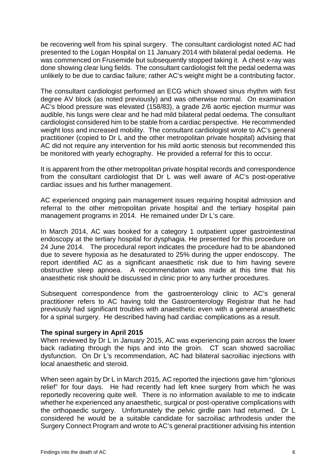be recovering well from his spinal surgery. The consultant cardiologist noted AC had presented to the Logan Hospital on 11 January 2014 with bilateral pedal oedema. He was commenced on Frusemide but subsequently stopped taking it. A chest x-ray was done showing clear lung fields. The consultant cardiologist felt the pedal oedema was unlikely to be due to cardiac failure; rather AC's weight might be a contributing factor.

The consultant cardiologist performed an ECG which showed sinus rhythm with first degree AV block (as noted previously) and was otherwise normal. On examination AC's blood pressure was elevated (158/83), a grade 2/6 aortic ejection murmur was audible, his lungs were clear and he had mild bilateral pedal oedema. The consultant cardiologist considered him to be stable from a cardiac perspective. He recommended weight loss and increased mobility. The consultant cardiologist wrote to AC's general practitioner (copied to Dr L and the other metropolitan private hospital) advising that AC did not require any intervention for his mild aortic stenosis but recommended this be monitored with yearly echography. He provided a referral for this to occur.

It is apparent from the other metropolitan private hospital records and correspondence from the consultant cardiologist that Dr L was well aware of AC's post-operative cardiac issues and his further management.

AC experienced ongoing pain management issues requiring hospital admission and referral to the other metropolitan private hospital and the tertiary hospital pain management programs in 2014. He remained under Dr L's care.

In March 2014, AC was booked for a category 1 outpatient upper gastrointestinal endoscopy at the tertiary hospital for dysphagia. He presented for this procedure on 24 June 2014. The procedural report indicates the procedure had to be abandoned due to severe hypoxia as he desaturated to 25% during the upper endoscopy. The report identified AC as a significant anaesthetic risk due to him having severe obstructive sleep apnoea. A recommendation was made at this time that his anaesthetic risk should be discussed in clinic prior to any further procedures.

Subsequent correspondence from the gastroenterology clinic to AC's general practitioner refers to AC having told the Gastroenterology Registrar that he had previously had significant troubles with anaesthetic even with a general anaesthetic for a spinal surgery. He described having had cardiac complications as a result.

# **The spinal surgery in April 2015**

When reviewed by Dr L in January 2015, AC was experiencing pain across the lower back radiating through the hips and into the groin. CT scan showed sacroiliac dysfunction. On Dr L's recommendation, AC had bilateral sacroiliac injections with local anaesthetic and steroid.

When seen again by Dr L in March 2015, AC reported the injections gave him "glorious relief" for four days. He had recently had left knee surgery from which he was reportedly recovering quite well. There is no information available to me to indicate whether he experienced any anaesthetic, surgical or post-operative complications with the orthopaedic surgery. Unfortunately the pelvic girdle pain had returned. Dr L considered he would be a suitable candidate for sacroiliac arthrodesis under the Surgery Connect Program and wrote to AC's general practitioner advising his intention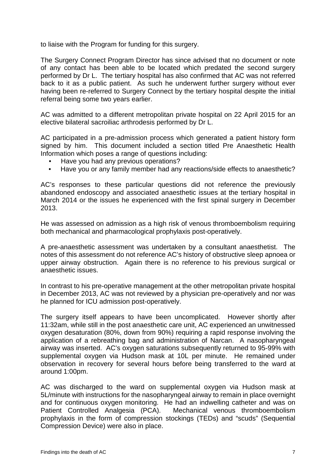to liaise with the Program for funding for this surgery.

The Surgery Connect Program Director has since advised that no document or note of any contact has been able to be located which predated the second surgery performed by Dr L. The tertiary hospital has also confirmed that AC was not referred back to it as a public patient. As such he underwent further surgery without ever having been re-referred to Surgery Connect by the tertiary hospital despite the initial referral being some two years earlier.

AC was admitted to a different metropolitan private hospital on 22 April 2015 for an elective bilateral sacroiliac arthrodesis performed by Dr L.

AC participated in a pre-admission process which generated a patient history form signed by him. This document included a section titled Pre Anaesthetic Health Information which poses a range of questions including:

- Have you had any previous operations?
- Have you or any family member had any reactions/side effects to anaesthetic?

AC's responses to these particular questions did not reference the previously abandoned endoscopy and associated anaesthetic issues at the tertiary hospital in March 2014 or the issues he experienced with the first spinal surgery in December 2013.

He was assessed on admission as a high risk of venous thromboembolism requiring both mechanical and pharmacological prophylaxis post-operatively.

A pre-anaesthetic assessment was undertaken by a consultant anaesthetist. The notes of this assessment do not reference AC's history of obstructive sleep apnoea or upper airway obstruction. Again there is no reference to his previous surgical or anaesthetic issues.

In contrast to his pre-operative management at the other metropolitan private hospital in December 2013, AC was not reviewed by a physician pre-operatively and nor was he planned for ICU admission post-operatively.

The surgery itself appears to have been uncomplicated. However shortly after 11:32am, while still in the post anaesthetic care unit, AC experienced an unwitnessed oxygen desaturation (80%, down from 90%) requiring a rapid response involving the application of a rebreathing bag and administration of Narcan. A nasopharyngeal airway was inserted. AC's oxygen saturations subsequently returned to 95-99% with supplemental oxygen via Hudson mask at 10L per minute. He remained under observation in recovery for several hours before being transferred to the ward at around 1:00pm.

AC was discharged to the ward on supplemental oxygen via Hudson mask at 5L/minute with instructions for the nasopharyngeal airway to remain in place overnight and for continuous oxygen monitoring. He had an indwelling catheter and was on Patient Controlled Analgesia (PCA). Mechanical venous thromboembolism prophylaxis in the form of compression stockings (TEDs) and "scuds" (Sequential Compression Device) were also in place.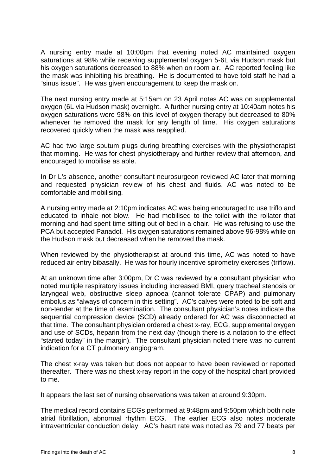A nursing entry made at 10:00pm that evening noted AC maintained oxygen saturations at 98% while receiving supplemental oxygen 5-6L via Hudson mask but his oxvaen saturations decreased to 88% when on room air. AC reported feeling like the mask was inhibiting his breathing. He is documented to have told staff he had a "sinus issue". He was given encouragement to keep the mask on.

The next nursing entry made at 5:15am on 23 April notes AC was on supplemental oxygen (6L via Hudson mask) overnight. A further nursing entry at 10:40am notes his oxygen saturations were 98% on this level of oxygen therapy but decreased to 80% whenever he removed the mask for any length of time. His oxygen saturations recovered quickly when the mask was reapplied.

AC had two large sputum plugs during breathing exercises with the physiotherapist that morning. He was for chest physiotherapy and further review that afternoon, and encouraged to mobilise as able.

In Dr L's absence, another consultant neurosurgeon reviewed AC later that morning and requested physician review of his chest and fluids. AC was noted to be comfortable and mobilising.

A nursing entry made at 2:10pm indicates AC was being encouraged to use triflo and educated to inhale not blow. He had mobilised to the toilet with the rollator that morning and had spent time sitting out of bed in a chair. He was refusing to use the PCA but accepted Panadol. His oxygen saturations remained above 96-98% while on the Hudson mask but decreased when he removed the mask.

When reviewed by the physiotherapist at around this time, AC was noted to have reduced air entry bibasally. He was for hourly incentive spirometry exercises (triflow).

At an unknown time after 3:00pm, Dr C was reviewed by a consultant physician who noted multiple respiratory issues including increased BMI, query tracheal stenosis or laryngeal web, obstructive sleep apnoea (cannot tolerate CPAP) and pulmonary embolus as "always of concern in this setting". AC's calves were noted to be soft and non-tender at the time of examination. The consultant physician's notes indicate the sequential compression device (SCD) already ordered for AC was disconnected at that time. The consultant physician ordered a chest x-ray, ECG, supplemental oxygen and use of SCDs, heparin from the next day (though there is a notation to the effect "started today" in the margin). The consultant physician noted there was no current indication for a CT pulmonary angiogram.

The chest x-ray was taken but does not appear to have been reviewed or reported thereafter. There was no chest x-ray report in the copy of the hospital chart provided to me.

It appears the last set of nursing observations was taken at around 9:30pm.

The medical record contains ECGs performed at 9:48pm and 9:50pm which both note atrial fibrillation, abnormal rhythm ECG. The earlier ECG also notes moderate intraventricular conduction delay. AC's heart rate was noted as 79 and 77 beats per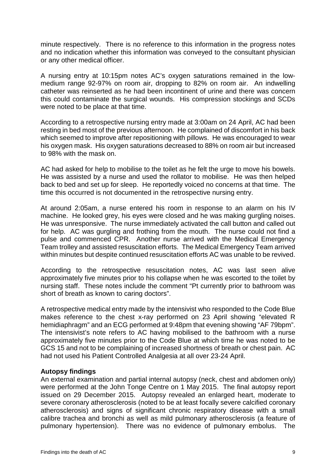minute respectively. There is no reference to this information in the progress notes and no indication whether this information was conveyed to the consultant physician or any other medical officer.

A nursing entry at 10:15pm notes AC's oxygen saturations remained in the lowmedium range 92-97% on room air, dropping to 82% on room air. An indwelling catheter was reinserted as he had been incontinent of urine and there was concern this could contaminate the surgical wounds. His compression stockings and SCDs were noted to be place at that time.

According to a retrospective nursing entry made at 3:00am on 24 April, AC had been resting in bed most of the previous afternoon. He complained of discomfort in his back which seemed to improve after repositioning with pillows. He was encouraged to wear his oxygen mask. His oxygen saturations decreased to 88% on room air but increased to 98% with the mask on.

AC had asked for help to mobilise to the toilet as he felt the urge to move his bowels. He was assisted by a nurse and used the rollator to mobilise. He was then helped back to bed and set up for sleep. He reportedly voiced no concerns at that time. The time this occurred is not documented in the retrospective nursing entry.

At around 2:05am, a nurse entered his room in response to an alarm on his IV machine. He looked grey, his eyes were closed and he was making gurgling noises. He was unresponsive. The nurse immediately activated the call button and called out for help. AC was gurgling and frothing from the mouth. The nurse could not find a pulse and commenced CPR. Another nurse arrived with the Medical Emergency Team trolley and assisted resuscitation efforts. The Medical Emergency Team arrived within minutes but despite continued resuscitation efforts AC was unable to be revived.

According to the retrospective resuscitation notes, AC was last seen alive approximately five minutes prior to his collapse when he was escorted to the toilet by nursing staff. These notes include the comment "Pt currently prior to bathroom was short of breath as known to caring doctors".

A retrospective medical entry made by the intensivist who responded to the Code Blue makes reference to the chest x-ray performed on 23 April showing "elevated R hemidiaphragm" and an ECG performed at 9:48pm that evening showing "AF 79bpm". The intensivist's note refers to AC having mobilised to the bathroom with a nurse approximately five minutes prior to the Code Blue at which time he was noted to be GCS 15 and not to be complaining of increased shortness of breath or chest pain. AC had not used his Patient Controlled Analgesia at all over 23-24 April.

# **Autopsy findings**

An external examination and partial internal autopsy (neck, chest and abdomen only) were performed at the John Tonge Centre on 1 May 2015. The final autopsy report issued on 29 December 2015. Autopsy revealed an enlarged heart, moderate to severe coronary atherosclerosis (noted to be at least focally severe calcified coronary atherosclerosis) and signs of significant chronic respiratory disease with a small calibre trachea and bronchi as well as mild pulmonary atherosclerosis (a feature of pulmonary hypertension). There was no evidence of pulmonary embolus. The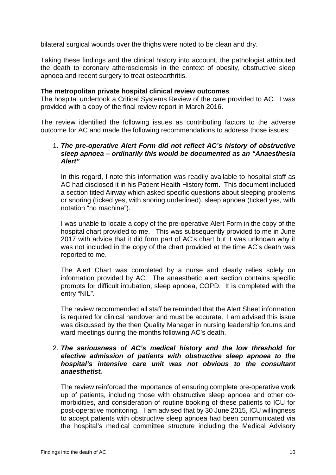bilateral surgical wounds over the thighs were noted to be clean and dry.

Taking these findings and the clinical history into account, the pathologist attributed the death to coronary atherosclerosis in the context of obesity, obstructive sleep apnoea and recent surgery to treat osteoarthritis.

#### **The metropolitan private hospital clinical review outcomes**

The hospital undertook a Critical Systems Review of the care provided to AC. I was provided with a copy of the final review report in March 2016.

The review identified the following issues as contributing factors to the adverse outcome for AC and made the following recommendations to address those issues:

#### 1. *The pre-operative Alert Form did not reflect AC's history of obstructive sleep apnoea – ordinarily this would be documented as an "Anaesthesia Alert"*

In this regard, I note this information was readily available to hospital staff as AC had disclosed it in his Patient Health History form. This document included a section titled Airway which asked specific questions about sleeping problems or snoring (ticked yes, with snoring underlined), sleep apnoea (ticked yes, with notation "no machine").

I was unable to locate a copy of the pre-operative Alert Form in the copy of the hospital chart provided to me. This was subsequently provided to me in June 2017 with advice that it did form part of AC's chart but it was unknown why it was not included in the copy of the chart provided at the time AC's death was reported to me.

The Alert Chart was completed by a nurse and clearly relies solely on information provided by AC. The anaesthetic alert section contains specific prompts for difficult intubation, sleep apnoea, COPD. It is completed with the entry "NIL".

The review recommended all staff be reminded that the Alert Sheet information is required for clinical handover and must be accurate. I am advised this issue was discussed by the then Quality Manager in nursing leadership forums and ward meetings during the months following AC's death.

#### 2. *The seriousness of AC's medical history and the low threshold for elective admission of patients with obstructive sleep apnoea to the hospital's intensive care unit was not obvious to the consultant anaesthetist.*

The review reinforced the importance of ensuring complete pre-operative work up of patients, including those with obstructive sleep apnoea and other comorbidities, and consideration of routine booking of these patients to ICU for post-operative monitoring. I am advised that by 30 June 2015, ICU willingness to accept patients with obstructive sleep apnoea had been communicated via the hospital's medical committee structure including the Medical Advisory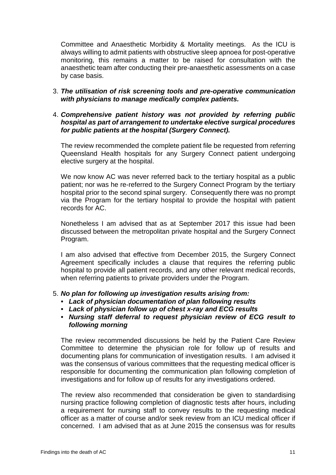Committee and Anaesthetic Morbidity & Mortality meetings. As the ICU is always willing to admit patients with obstructive sleep apnoea for post-operative monitoring, this remains a matter to be raised for consultation with the anaesthetic team after conducting their pre-anaesthetic assessments on a case by case basis.

3. *The utilisation of risk screening tools and pre-operative communication with physicians to manage medically complex patients.*

## 4. *Comprehensive patient history was not provided by referring public hospital as part of arrangement to undertake elective surgical procedures for public patients at the hospital (Surgery Connect).*

The review recommended the complete patient file be requested from referring Queensland Health hospitals for any Surgery Connect patient undergoing elective surgery at the hospital.

We now know AC was never referred back to the tertiary hospital as a public patient; nor was he re-referred to the Surgery Connect Program by the tertiary hospital prior to the second spinal surgery. Consequently there was no prompt via the Program for the tertiary hospital to provide the hospital with patient records for AC.

Nonetheless I am advised that as at September 2017 this issue had been discussed between the metropolitan private hospital and the Surgery Connect Program.

I am also advised that effective from December 2015, the Surgery Connect Agreement specifically includes a clause that requires the referring public hospital to provide all patient records, and any other relevant medical records, when referring patients to private providers under the Program.

# 5. *No plan for following up investigation results arising from:*

- *• Lack of physician documentation of plan following results*
- *• Lack of physician follow up of chest x-ray and ECG results*
- *• Nursing staff deferral to request physician review of ECG result to following morning*

The review recommended discussions be held by the Patient Care Review Committee to determine the physician role for follow up of results and documenting plans for communication of investigation results. I am advised it was the consensus of various committees that the requesting medical officer is responsible for documenting the communication plan following completion of investigations and for follow up of results for any investigations ordered.

The review also recommended that consideration be given to standardising nursing practice following completion of diagnostic tests after hours, including a requirement for nursing staff to convey results to the requesting medical officer as a matter of course and/or seek review from an ICU medical officer if concerned. I am advised that as at June 2015 the consensus was for results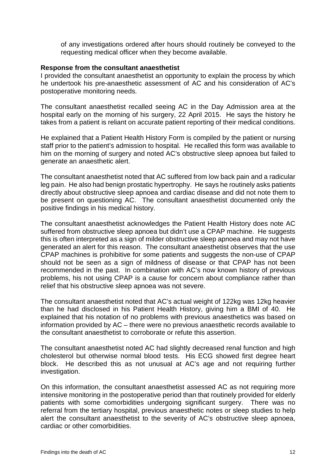of any investigations ordered after hours should routinely be conveyed to the requesting medical officer when they become available.

#### **Response from the consultant anaesthetist**

I provided the consultant anaesthetist an opportunity to explain the process by which he undertook his pre-anaesthetic assessment of AC and his consideration of AC's postoperative monitoring needs.

The consultant anaesthetist recalled seeing AC in the Day Admission area at the hospital early on the morning of his surgery, 22 April 2015. He says the history he takes from a patient is reliant on accurate patient reporting of their medical conditions.

He explained that a Patient Health History Form is compiled by the patient or nursing staff prior to the patient's admission to hospital. He recalled this form was available to him on the morning of surgery and noted AC's obstructive sleep apnoea but failed to generate an anaesthetic alert.

The consultant anaesthetist noted that AC suffered from low back pain and a radicular leg pain. He also had benign prostatic hypertrophy. He says he routinely asks patients directly about obstructive sleep apnoea and cardiac disease and did not note them to be present on questioning AC. The consultant anaesthetist documented only the positive findings in his medical history.

The consultant anaesthetist acknowledges the Patient Health History does note AC suffered from obstructive sleep apnoea but didn't use a CPAP machine. He suggests this is often interpreted as a sign of milder obstructive sleep apnoea and may not have generated an alert for this reason. The consultant anaesthetist observes that the use CPAP machines is prohibitive for some patients and suggests the non-use of CPAP should not be seen as a sign of mildness of disease or that CPAP has not been recommended in the past. In combination with AC's now known history of previous problems, his not using CPAP is a cause for concern about compliance rather than relief that his obstructive sleep apnoea was not severe.

The consultant anaesthetist noted that AC's actual weight of 122kg was 12kg heavier than he had disclosed in his Patient Health History, giving him a BMI of 40. He explained that his notation of no problems with previous anaesthetics was based on information provided by AC – there were no previous anaesthetic records available to the consultant anaesthetist to corroborate or refute this assertion.

The consultant anaesthetist noted AC had slightly decreased renal function and high cholesterol but otherwise normal blood tests. His ECG showed first degree heart block. He described this as not unusual at AC's age and not requiring further investigation.

On this information, the consultant anaesthetist assessed AC as not requiring more intensive monitoring in the postoperative period than that routinely provided for elderly patients with some comorbidities undergoing significant surgery. There was no referral from the tertiary hospital, previous anaesthetic notes or sleep studies to help alert the consultant anaesthetist to the severity of AC's obstructive sleep apnoea, cardiac or other comorbidities.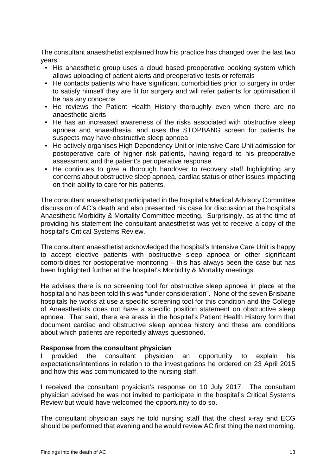The consultant anaesthetist explained how his practice has changed over the last two years:

- His anaesthetic group uses a cloud based preoperative booking system which allows uploading of patient alerts and preoperative tests or referrals
- He contacts patients who have significant comorbidities prior to surgery in order to satisfy himself they are fit for surgery and will refer patients for optimisation if he has any concerns
- He reviews the Patient Health History thoroughly even when there are no anaesthetic alerts
- He has an increased awareness of the risks associated with obstructive sleep apnoea and anaesthesia, and uses the STOPBANG screen for patients he suspects may have obstructive sleep apnoea
- He actively organises High Dependency Unit or Intensive Care Unit admission for postoperative care of higher risk patients, having regard to his preoperative assessment and the patient's perioperative response
- He continues to give a thorough handover to recovery staff highlighting any concerns about obstructive sleep apnoea, cardiac status or other issues impacting on their ability to care for his patients.

The consultant anaesthetist participated in the hospital's Medical Advisory Committee discussion of AC's death and also presented his case for discussion at the hospital's Anaesthetic Morbidity & Mortality Committee meeting. Surprisingly, as at the time of providing his statement the consultant anaesthetist was yet to receive a copy of the hospital's Critical Systems Review.

The consultant anaesthetist acknowledged the hospital's Intensive Care Unit is happy to accept elective patients with obstructive sleep apnoea or other significant comorbidities for postoperative monitoring – this has always been the case but has been highlighted further at the hospital's Morbidity & Mortality meetings.

He advises there is no screening tool for obstructive sleep apnoea in place at the hospital and has been told this was "under consideration". None of the seven Brisbane hospitals he works at use a specific screening tool for this condition and the College of Anaesthetists does not have a specific position statement on obstructive sleep apnoea. That said, there are areas in the hospital's Patient Health History form that document cardiac and obstructive sleep apnoea history and these are conditions about which patients are reportedly always questioned.

# **Response from the consultant physician**

I provided the consultant physician an opportunity to explain his expectations/intentions in relation to the investigations he ordered on 23 April 2015 and how this was communicated to the nursing staff.

I received the consultant physician's response on 10 July 2017. The consultant physician advised he was not invited to participate in the hospital's Critical Systems Review but would have welcomed the opportunity to do so.

The consultant physician says he told nursing staff that the chest x-ray and ECG should be performed that evening and he would review AC first thing the next morning.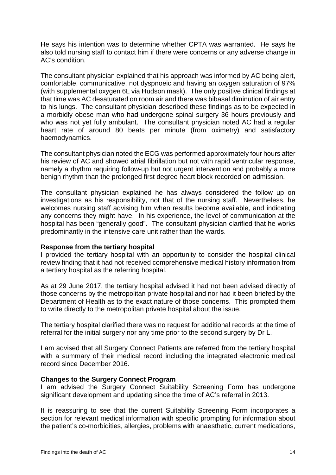He says his intention was to determine whether CPTA was warranted. He says he also told nursing staff to contact him if there were concerns or any adverse change in AC's condition.

The consultant physician explained that his approach was informed by AC being alert, comfortable, communicative, not dyspnoeic and having an oxygen saturation of 97% (with supplemental oxygen 6L via Hudson mask). The only positive clinical findings at that time was AC desaturated on room air and there was bibasal diminution of air entry to his lungs. The consultant physician described these findings as to be expected in a morbidly obese man who had undergone spinal surgery 36 hours previously and who was not yet fully ambulant. The consultant physician noted AC had a regular heart rate of around 80 beats per minute (from oximetry) and satisfactory haemodynamics.

The consultant physician noted the ECG was performed approximately four hours after his review of AC and showed atrial fibrillation but not with rapid ventricular response, namely a rhythm requiring follow-up but not urgent intervention and probably a more benign rhythm than the prolonged first degree heart block recorded on admission.

The consultant physician explained he has always considered the follow up on investigations as his responsibility, not that of the nursing staff. Nevertheless, he welcomes nursing staff advising him when results become available, and indicating any concerns they might have. In his experience, the level of communication at the hospital has been "generally good". The consultant physician clarified that he works predominantly in the intensive care unit rather than the wards.

# **Response from the tertiary hospital**

I provided the tertiary hospital with an opportunity to consider the hospital clinical review finding that it had not received comprehensive medical history information from a tertiary hospital as the referring hospital.

As at 29 June 2017, the tertiary hospital advised it had not been advised directly of those concerns by the metropolitan private hospital and nor had it been briefed by the Department of Health as to the exact nature of those concerns. This prompted them to write directly to the metropolitan private hospital about the issue.

The tertiary hospital clarified there was no request for additional records at the time of referral for the initial surgery nor any time prior to the second surgery by Dr L.

I am advised that all Surgery Connect Patients are referred from the tertiary hospital with a summary of their medical record including the integrated electronic medical record since December 2016.

# **Changes to the Surgery Connect Program**

I am advised the Surgery Connect Suitability Screening Form has undergone significant development and updating since the time of AC's referral in 2013.

It is reassuring to see that the current Suitability Screening Form incorporates a section for relevant medical information with specific prompting for information about the patient's co-morbidities, allergies, problems with anaesthetic, current medications,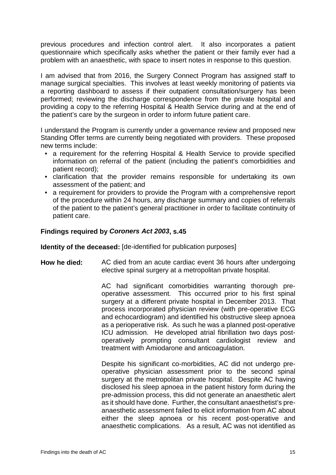previous procedures and infection control alert. It also incorporates a patient questionnaire which specifically asks whether the patient or their family ever had a problem with an anaesthetic, with space to insert notes in response to this question.

I am advised that from 2016, the Surgery Connect Program has assigned staff to manage surgical specialties. This involves at least weekly monitoring of patients via a reporting dashboard to assess if their outpatient consultation/surgery has been performed; reviewing the discharge correspondence from the private hospital and providing a copy to the referring Hospital & Health Service during and at the end of the patient's care by the surgeon in order to inform future patient care.

I understand the Program is currently under a governance review and proposed new Standing Offer terms are currently being negotiated with providers. These proposed new terms include:

- a requirement for the referring Hospital & Health Service to provide specified information on referral of the patient (including the patient's comorbidities and patient record);
- clarification that the provider remains responsible for undertaking its own assessment of the patient; and
- a requirement for providers to provide the Program with a comprehensive report of the procedure within 24 hours, any discharge summary and copies of referrals of the patient to the patient's general practitioner in order to facilitate continuity of patient care.

# **Findings required by** *Coroners Act 2003***, s.45**

**Identity of the deceased:** [de-identified for publication purposes]

**How he died:** AC died from an acute cardiac event 36 hours after undergoing elective spinal surgery at a metropolitan private hospital.

> AC had significant comorbidities warranting thorough preoperative assessment. This occurred prior to his first spinal surgery at a different private hospital in December 2013. That process incorporated physician review (with pre-operative ECG and echocardiogram) and identified his obstructive sleep apnoea as a perioperative risk. As such he was a planned post-operative ICU admission. He developed atrial fibrillation two days postoperatively prompting consultant cardiologist review and treatment with Amiodarone and anticoagulation.

> Despite his significant co-morbidities, AC did not undergo preoperative physician assessment prior to the second spinal surgery at the metropolitan private hospital. Despite AC having disclosed his sleep apnoea in the patient history form during the pre-admission process, this did not generate an anaesthetic alert as it should have done. Further, the consultant anaesthetist's preanaesthetic assessment failed to elicit information from AC about either the sleep apnoea or his recent post-operative and anaesthetic complications. As a result, AC was not identified as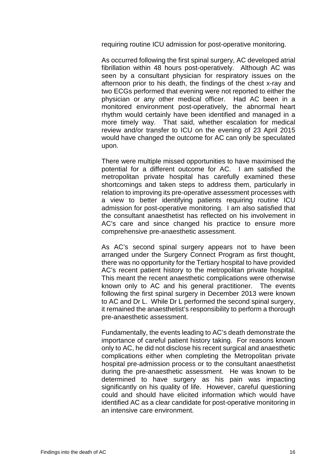requiring routine ICU admission for post-operative monitoring.

As occurred following the first spinal surgery, AC developed atrial fibrillation within 48 hours post-operatively. Although AC was seen by a consultant physician for respiratory issues on the afternoon prior to his death, the findings of the chest x-ray and two ECGs performed that evening were not reported to either the physician or any other medical officer. Had AC been in a monitored environment post-operatively, the abnormal heart rhythm would certainly have been identified and managed in a more timely way. That said, whether escalation for medical review and/or transfer to ICU on the evening of 23 April 2015 would have changed the outcome for AC can only be speculated upon.

There were multiple missed opportunities to have maximised the potential for a different outcome for AC. I am satisfied the metropolitan private hospital has carefully examined these shortcomings and taken steps to address them, particularly in relation to improving its pre-operative assessment processes with a view to better identifying patients requiring routine ICU admission for post-operative monitoring. I am also satisfied that the consultant anaesthetist has reflected on his involvement in AC's care and since changed his practice to ensure more comprehensive pre-anaesthetic assessment.

As AC's second spinal surgery appears not to have been arranged under the Surgery Connect Program as first thought, there was no opportunity for the Tertiary hospital to have provided AC's recent patient history to the metropolitan private hospital. This meant the recent anaesthetic complications were otherwise known only to AC and his general practitioner. The events following the first spinal surgery in December 2013 were known to AC and Dr L. While Dr L performed the second spinal surgery, it remained the anaesthetist's responsibility to perform a thorough pre-anaesthetic assessment.

Fundamentally, the events leading to AC's death demonstrate the importance of careful patient history taking. For reasons known only to AC, he did not disclose his recent surgical and anaesthetic complications either when completing the Metropolitan private hospital pre-admission process or to the consultant anaesthetist during the pre-anaesthetic assessment. He was known to be determined to have surgery as his pain was impacting significantly on his quality of life. However, careful questioning could and should have elicited information which would have identified AC as a clear candidate for post-operative monitoring in an intensive care environment.